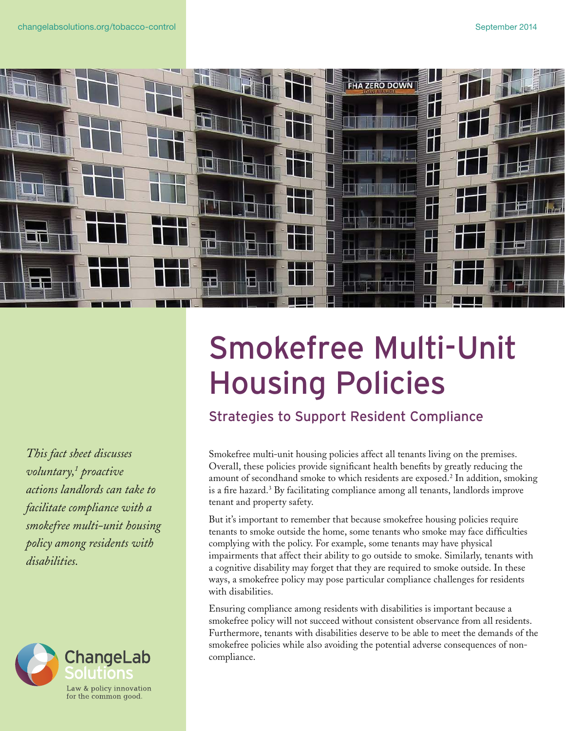

*This fact sheet discusses voluntary,1 proactive actions landlords can take to facilitate compliance with a smokefree multi-unit housing policy among residents with disabilities.*



## Smokefree Multi-Unit Housing Policies

Strategies to Support Resident Compliance

Smokefree multi-unit housing policies affect all tenants living on the premises. Overall, these policies provide significant health benefits by greatly reducing the amount of secondhand smoke to which residents are exposed.<sup>2</sup> In addition, smoking is a fire hazard.3 By facilitating compliance among all tenants, landlords improve tenant and property safety.

But it's important to remember that because smokefree housing policies require tenants to smoke outside the home, some tenants who smoke may face difficulties complying with the policy. For example, some tenants may have physical impairments that affect their ability to go outside to smoke. Similarly, tenants with a cognitive disability may forget that they are required to smoke outside. In these ways, a smokefree policy may pose particular compliance challenges for residents with disabilities.

Ensuring compliance among residents with disabilities is important because a smokefree policy will not succeed without consistent observance from all residents. Furthermore, tenants with disabilities deserve to be able to meet the demands of the smokefree policies while also avoiding the potential adverse consequences of noncompliance.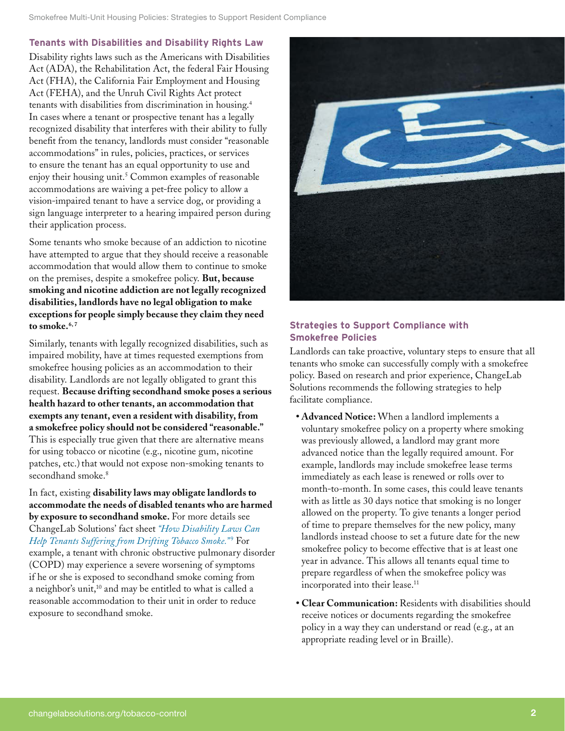## **Tenants with Disabilities and Disability Rights Law**

Disability rights laws such as the Americans with Disabilities Act (ADA), the Rehabilitation Act, the federal Fair Housing Act (FHA), the California Fair Employment and Housing Act (FEHA), and the Unruh Civil Rights Act protect tenants with disabilities from discrimination in housing.4 In cases where a tenant or prospective tenant has a legally recognized disability that interferes with their ability to fully benefit from the tenancy, landlords must consider "reasonable accommodations" in rules, policies, practices, or services to ensure the tenant has an equal opportunity to use and enjoy their housing unit.<sup>5</sup> Common examples of reasonable accommodations are waiving a pet-free policy to allow a vision-impaired tenant to have a service dog, or providing a sign language interpreter to a hearing impaired person during their application process.

Some tenants who smoke because of an addiction to nicotine have attempted to argue that they should receive a reasonable accommodation that would allow them to continue to smoke on the premises, despite a smokefree policy. **But, because smoking and nicotine addiction are not legally recognized disabilities, landlords have no legal obligation to make exceptions for people simply because they claim they need to smoke.6, <sup>7</sup>**

Similarly, tenants with legally recognized disabilities, such as impaired mobility, have at times requested exemptions from smokefree housing policies as an accommodation to their disability. Landlords are not legally obligated to grant this request. **Because drifting secondhand smoke poses a serious health hazard to other tenants, an accommodation that exempts any tenant, even a resident with disability, from a smokefree policy should not be considered "reasonable."** This is especially true given that there are alternative means for using tobacco or nicotine (e.g., nicotine gum, nicotine patches, etc.) that would not expose non-smoking tenants to secondhand smoke.<sup>8</sup>

In fact, existing **disability laws may obligate landlords to accommodate the needs of disabled tenants who are harmed by exposure to secondhand smoke.** For more details see ChangeLab Solutions' fact sheet *["How Disability Laws Can](http://changelabsolutions.org/publications/disability-laws-tobacco-smoke)*  [Help Tenants Suffering from Drifting Tobacco Smoke](http://changelabsolutions.org/publications/disability-laws-tobacco-smoke)."<sup>9</sup> For example, a tenant with chronic obstructive pulmonary disorder (COPD) may experience a severe worsening of symptoms if he or she is exposed to secondhand smoke coming from a neighbor's unit,<sup>10</sup> and may be entitled to what is called a reasonable accommodation to their unit in order to reduce exposure to secondhand smoke.



## **Strategies to Support Compliance with Smokefree Policies**

Landlords can take proactive, voluntary steps to ensure that all tenants who smoke can successfully comply with a smokefree policy. Based on research and prior experience, ChangeLab Solutions recommends the following strategies to help facilitate compliance.

- **• Advanced Notice:** When a landlord implements a voluntary smokefree policy on a property where smoking was previously allowed, a landlord may grant more advanced notice than the legally required amount. For example, landlords may include smokefree lease terms immediately as each lease is renewed or rolls over to month-to-month. In some cases, this could leave tenants with as little as 30 days notice that smoking is no longer allowed on the property. To give tenants a longer period of time to prepare themselves for the new policy, many landlords instead choose to set a future date for the new smokefree policy to become effective that is at least one year in advance. This allows all tenants equal time to prepare regardless of when the smokefree policy was incorporated into their lease.<sup>11</sup>
- **• Clear Communication:** Residents with disabilities should receive notices or documents regarding the smokefree policy in a way they can understand or read (e.g., at an appropriate reading level or in Braille).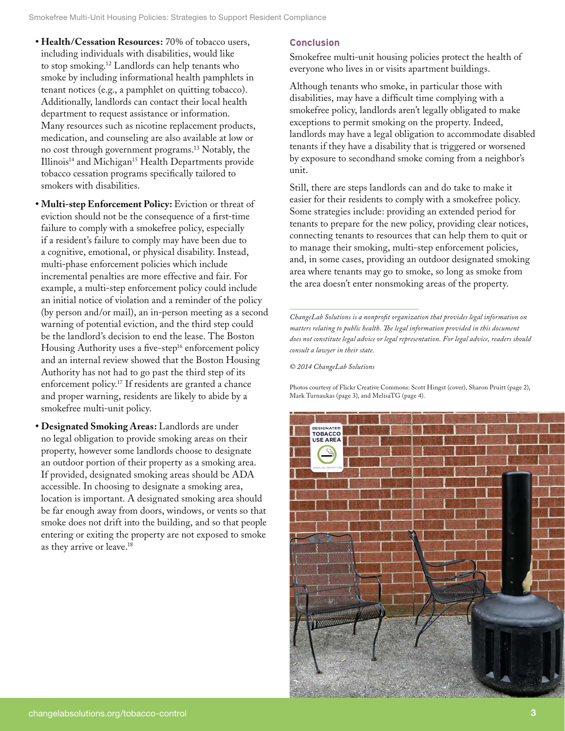- **• Health/Cessation Resources:** 70% of tobacco users, including individuals with disabilities, would like to stop smoking.12 Landlords can help tenants who smoke by including informational health pamphlets in tenant notices (e.g., a pamphlet on quitting tobacco). Additionally, landlords can contact their local health department to request assistance or information. Many resources such as nicotine replacement products, medication, and counseling are also available at low or no cost through government programs.<sup>13</sup> Notably, the Illinois<sup>14</sup> and Michigan<sup>15</sup> Health Departments provide tobacco cessation programs specifically tailored to smokers with disabilities.
- **• Multi-step Enforcement Policy:** Eviction or threat of eviction should not be the consequence of a first-time failure to comply with a smokefree policy, especially if a resident's failure to comply may have been due to a cognitive, emotional, or physical disability. Instead, multi-phase enforcement policies which include incremental penalties are more effective and fair. For example, a multi-step enforcement policy could include an initial notice of violation and a reminder of the policy (by person and/or mail), an in-person meeting as a second warning of potential eviction, and the third step could be the landlord's decision to end the lease. The Boston Housing Authority uses a five-step<sup>16</sup> enforcement policy and an internal review showed that the Boston Housing Authority has not had to go past the third step of its enforcement policy.17 If residents are granted a chance and proper warning, residents are likely to abide by a smokefree multi-unit policy.
- **• Designated Smoking Areas:** Landlords are under no legal obligation to provide smoking areas on their property, however some landlords choose to designate an outdoor portion of their property as a smoking area. If provided, designated smoking areas should be ADA accessible. In choosing to designate a smoking area, location is important. A designated smoking area should be far enough away from doors, windows, or vents so that smoke does not drift into the building, and so that people entering or exiting the property are not exposed to smoke as they arrive or leave.18

## **Conclusion**

Smokefree multi-unit housing policies protect the health of everyone who lives in or visits apartment buildings.

Although tenants who smoke, in particular those with disabilities, may have a difficult time complying with a smokefree policy, landlords aren't legally obligated to make exceptions to permit smoking on the property. Indeed, landlords may have a legal obligation to accommodate disabled tenants if they have a disability that is triggered or worsened by exposure to secondhand smoke coming from a neighbor's unit.

Still, there are steps landlords can and do take to make it easier for their residents to comply with a smokefree policy. Some strategies include: providing an extended period for tenants to prepare for the new policy, providing clear notices, connecting tenants to resources that can help them to quit or to manage their smoking, multi-step enforcement policies, and, in some cases, providing an outdoor designated smoking area where tenants may go to smoke, so long as smoke from the area doesn't enter nonsmoking areas of the property.

*ChangeLab Solutions is a nonprofit organization that provides legal information on matters relating to public health. The legal information provided in this document does not constitute legal advice or legal representation. For legal advice, readers should consult a lawyer in their state.* 

*© 2014 ChangeLab Solutions*

Photos courtesy of Flickr Creative Commons: Scott Hingst (cover), Sharon Pruitt (page 2), Mark Turnaukas (page 3), and MelisaTG (page 4).